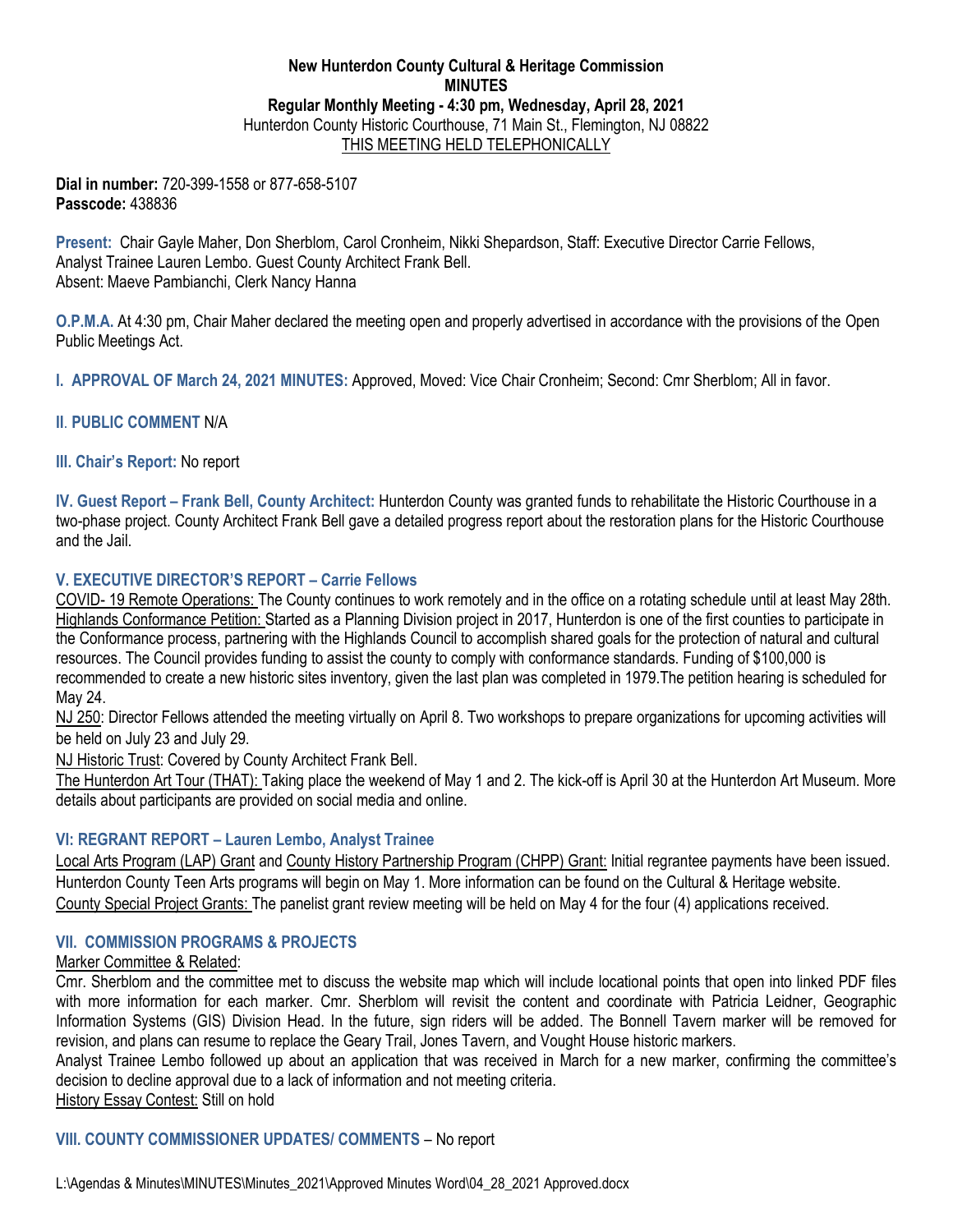# **New Hunterdon County Cultural & Heritage Commission MINUTES Regular Monthly Meeting - 4:30 pm, Wednesday, April 28, 2021** Hunterdon County Historic Courthouse, 71 Main St., Flemington, NJ 08822 THIS MEETING HELD TELEPHONICALLY

**Dial in number:** 720-399-1558 or 877-658-5107 **Passcode:** 438836

**Present:** Chair Gayle Maher, Don Sherblom, Carol Cronheim, Nikki Shepardson, Staff: Executive Director Carrie Fellows, Analyst Trainee Lauren Lembo. Guest County Architect Frank Bell. Absent: Maeve Pambianchi, Clerk Nancy Hanna

**O.P.M.A.** At 4:30 pm, Chair Maher declared the meeting open and properly advertised in accordance with the provisions of the Open Public Meetings Act.

**I. APPROVAL OF March 24, 2021 MINUTES:** Approved, Moved: Vice Chair Cronheim; Second: Cmr Sherblom; All in favor.

# **II**. **PUBLIC COMMENT** N/A

**III. Chair's Report:** No report

**IV. Guest Report – Frank Bell, County Architect:** Hunterdon County was granted funds to rehabilitate the Historic Courthouse in a two-phase project. County Architect Frank Bell gave a detailed progress report about the restoration plans for the Historic Courthouse and the Jail.

# **V. EXECUTIVE DIRECTOR'S REPORT – Carrie Fellows**

COVID- 19 Remote Operations: The County continues to work remotely and in the office on a rotating schedule until at least May 28th. Highlands Conformance Petition: Started as a Planning Division project in 2017, Hunterdon is one of the first counties to participate in the Conformance process, partnering with the Highlands Council to accomplish shared goals for the protection of natural and cultural resources. The Council provides funding to assist the county to comply with conformance standards. Funding of \$100,000 is recommended to create a new historic sites inventory, given the last plan was completed in 1979.The petition hearing is scheduled for May 24.

NJ 250: Director Fellows attended the meeting virtually on April 8. Two workshops to prepare organizations for upcoming activities will be held on July 23 and July 29.

NJ Historic Trust: Covered by County Architect Frank Bell.

The Hunterdon Art Tour (THAT): Taking place the weekend of May 1 and 2. The kick-off is April 30 at the Hunterdon Art Museum. More details about participants are provided on social media and online.

### **VI: REGRANT REPORT – Lauren Lembo, Analyst Trainee**

Local Arts Program (LAP) Grant and County History Partnership Program (CHPP) Grant: Initial regrantee payments have been issued. Hunterdon County Teen Arts programs will begin on May 1. More information can be found on the Cultural & Heritage website. County Special Project Grants: The panelist grant review meeting will be held on May 4 for the four (4) applications received.

## **VII. COMMISSION PROGRAMS & PROJECTS**

### Marker Committee & Related:

Cmr. Sherblom and the committee met to discuss the website map which will include locational points that open into linked PDF files with more information for each marker. Cmr. Sherblom will revisit the content and coordinate with Patricia Leidner, Geographic Information Systems (GIS) Division Head. In the future, sign riders will be added. The Bonnell Tavern marker will be removed for revision, and plans can resume to replace the Geary Trail, Jones Tavern, and Vought House historic markers.

Analyst Trainee Lembo followed up about an application that was received in March for a new marker, confirming the committee's decision to decline approval due to a lack of information and not meeting criteria. History Essay Contest: Still on hold

**VIII. COUNTY COMMISSIONER UPDATES/ COMMENTS** – No report